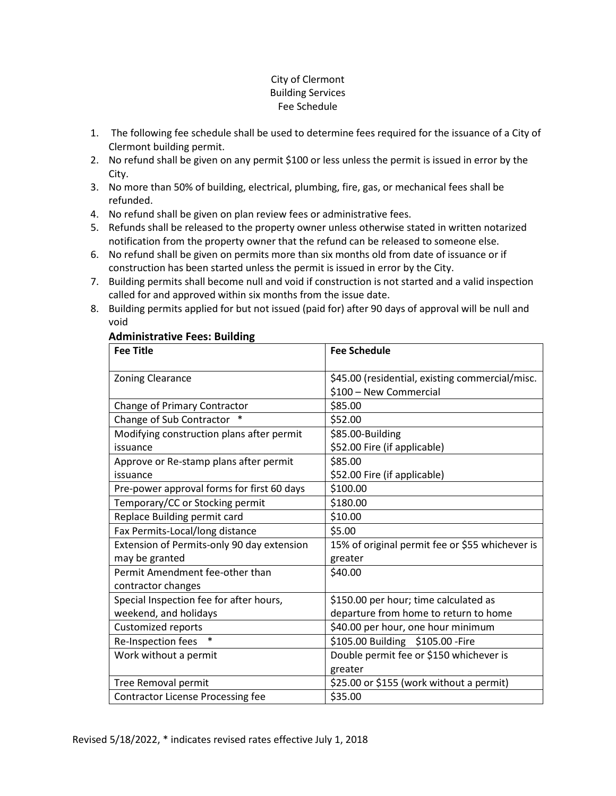#### City of Clermont Building Services Fee Schedule

- 1. The following fee schedule shall be used to determine fees required for the issuance of a City of Clermont building permit.
- 2. No refund shall be given on any permit \$100 or less unless the permit is issued in error by the City.
- 3. No more than 50% of building, electrical, plumbing, fire, gas, or mechanical fees shall be refunded.
- 4. No refund shall be given on plan review fees or administrative fees.
- 5. Refunds shall be released to the property owner unless otherwise stated in written notarized notification from the property owner that the refund can be released to someone else.
- 6. No refund shall be given on permits more than six months old from date of issuance or if construction has been started unless the permit is issued in error by the City.
- 7. Building permits shall become null and void if construction is not started and a valid inspection called for and approved within six months from the issue date.
- 8. Building permits applied for but not issued (paid for) after 90 days of approval will be null and void

#### **Administrative Fees: Building**

| <b>Fee Title</b>                           | <b>Fee Schedule</b>                             |
|--------------------------------------------|-------------------------------------------------|
|                                            |                                                 |
| Zoning Clearance                           | \$45.00 (residential, existing commercial/misc. |
|                                            | \$100 - New Commercial                          |
| Change of Primary Contractor               | \$85.00                                         |
| Change of Sub Contractor *                 | \$52.00                                         |
| Modifying construction plans after permit  | \$85.00-Building                                |
| issuance                                   | \$52.00 Fire (if applicable)                    |
| Approve or Re-stamp plans after permit     | \$85.00                                         |
| issuance                                   | \$52.00 Fire (if applicable)                    |
| Pre-power approval forms for first 60 days | \$100.00                                        |
| Temporary/CC or Stocking permit            | \$180.00                                        |
| Replace Building permit card               | \$10.00                                         |
| Fax Permits-Local/long distance            | \$5.00                                          |
| Extension of Permits-only 90 day extension | 15% of original permit fee or \$55 whichever is |
| may be granted                             | greater                                         |
| Permit Amendment fee-other than            | \$40.00                                         |
| contractor changes                         |                                                 |
| Special Inspection fee for after hours,    | \$150.00 per hour; time calculated as           |
| weekend, and holidays                      | departure from home to return to home           |
| Customized reports                         | \$40.00 per hour, one hour minimum              |
| $\ast$<br>Re-Inspection fees               | \$105.00 Building \$105.00 - Fire               |
| Work without a permit                      | Double permit fee or \$150 whichever is         |
|                                            | greater                                         |
| Tree Removal permit                        | \$25.00 or \$155 (work without a permit)        |
| <b>Contractor License Processing fee</b>   | \$35.00                                         |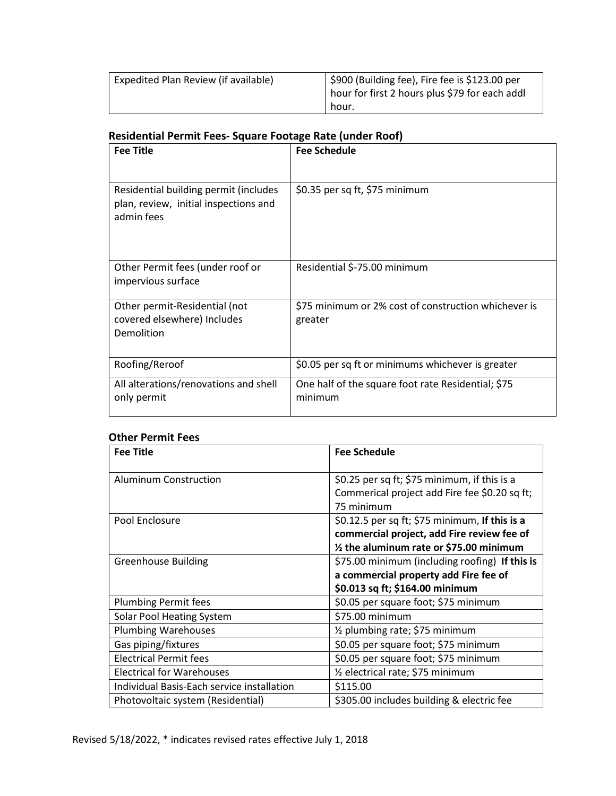| Expedited Plan Review (if available) | \$900 (Building fee), Fire fee is \$123.00 per<br>phour for first 2 hours plus \$79 for each addl |
|--------------------------------------|---------------------------------------------------------------------------------------------------|
|                                      | hour.                                                                                             |

# **Residential Permit Fees- Square Footage Rate (under Roof)**

| <b>Fee Title</b>                                                                             | <b>Fee Schedule</b>                                             |
|----------------------------------------------------------------------------------------------|-----------------------------------------------------------------|
|                                                                                              |                                                                 |
| Residential building permit (includes<br>plan, review, initial inspections and<br>admin fees | \$0.35 per sq ft, \$75 minimum                                  |
| Other Permit fees (under roof or<br>impervious surface                                       | Residential \$-75.00 minimum                                    |
| Other permit-Residential (not<br>covered elsewhere) Includes<br>Demolition                   | \$75 minimum or 2% cost of construction whichever is<br>greater |
| Roofing/Reroof                                                                               | \$0.05 per sq ft or minimums whichever is greater               |
| All alterations/renovations and shell<br>only permit                                         | One half of the square foot rate Residential; \$75<br>minimum   |

#### **Other Permit Fees**

| <b>Fee Title</b>                           | <b>Fee Schedule</b>                                                                                                                      |
|--------------------------------------------|------------------------------------------------------------------------------------------------------------------------------------------|
| Aluminum Construction                      | \$0.25 per sq ft; \$75 minimum, if this is a<br>Commerical project add Fire fee \$0.20 sq ft;<br>75 minimum                              |
| Pool Enclosure                             | \$0.12.5 per sq ft; \$75 minimum, If this is a<br>commercial project, add Fire review fee of<br>1/2 the aluminum rate or \$75.00 minimum |
| <b>Greenhouse Building</b>                 | \$75.00 minimum (including roofing) If this is<br>a commercial property add Fire fee of<br>\$0.013 sq ft; \$164.00 minimum               |
| <b>Plumbing Permit fees</b>                | \$0.05 per square foot; \$75 minimum                                                                                                     |
| Solar Pool Heating System                  | \$75.00 minimum                                                                                                                          |
| <b>Plumbing Warehouses</b>                 | 1/2 plumbing rate; \$75 minimum                                                                                                          |
| Gas piping/fixtures                        | \$0.05 per square foot; \$75 minimum                                                                                                     |
| <b>Electrical Permit fees</b>              | \$0.05 per square foot; \$75 minimum                                                                                                     |
| <b>Electrical for Warehouses</b>           | 1/ <sub>2</sub> electrical rate; \$75 minimum                                                                                            |
| Individual Basis-Each service installation | \$115.00                                                                                                                                 |
| Photovoltaic system (Residential)          | \$305.00 includes building & electric fee                                                                                                |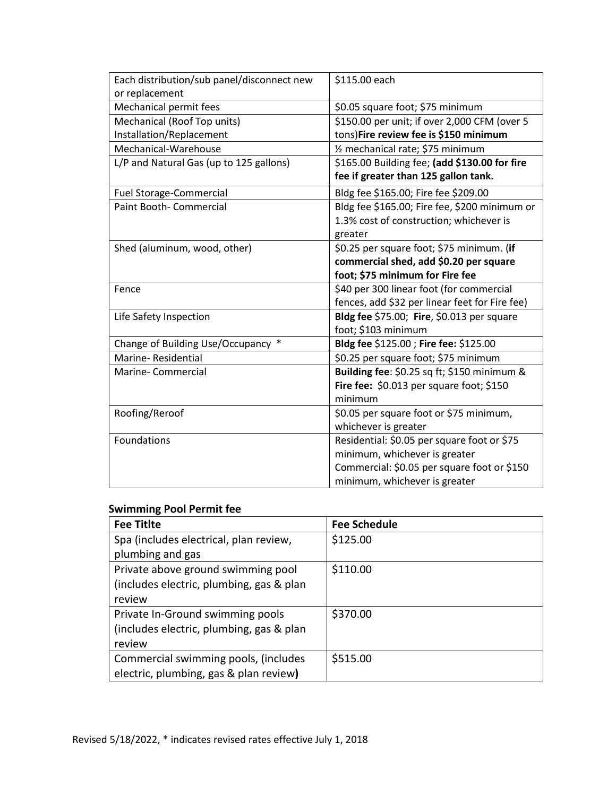| Each distribution/sub panel/disconnect new | \$115.00 each                                  |
|--------------------------------------------|------------------------------------------------|
| or replacement                             |                                                |
| Mechanical permit fees                     | \$0.05 square foot; \$75 minimum               |
| Mechanical (Roof Top units)                | \$150.00 per unit; if over 2,000 CFM (over 5   |
| Installation/Replacement                   | tons)Fire review fee is \$150 minimum          |
| Mechanical-Warehouse                       | 1/ <sub>2</sub> mechanical rate; \$75 minimum  |
| L/P and Natural Gas (up to 125 gallons)    | \$165.00 Building fee; (add \$130.00 for fire  |
|                                            | fee if greater than 125 gallon tank.           |
| <b>Fuel Storage-Commercial</b>             | Bldg fee \$165.00; Fire fee \$209.00           |
| Paint Booth- Commercial                    | Bldg fee \$165.00; Fire fee, \$200 minimum or  |
|                                            | 1.3% cost of construction; whichever is        |
|                                            | greater                                        |
| Shed (aluminum, wood, other)               | \$0.25 per square foot; \$75 minimum. (if      |
|                                            | commercial shed, add \$0.20 per square         |
|                                            | foot; \$75 minimum for Fire fee                |
| Fence                                      | \$40 per 300 linear foot (for commercial       |
|                                            | fences, add \$32 per linear feet for Fire fee) |
| Life Safety Inspection                     | Bldg fee \$75.00; Fire, \$0.013 per square     |
|                                            | foot; \$103 minimum                            |
| $\ast$<br>Change of Building Use/Occupancy | Bldg fee \$125.00 ; Fire fee: \$125.00         |
| Marine-Residential                         | \$0.25 per square foot; \$75 minimum           |
| Marine-Commercial                          | Building fee: \$0.25 sq ft; \$150 minimum &    |
|                                            | Fire fee: \$0.013 per square foot; \$150       |
|                                            | minimum                                        |
| Roofing/Reroof                             | \$0.05 per square foot or \$75 minimum,        |
|                                            | whichever is greater                           |
| Foundations                                | Residential: \$0.05 per square foot or \$75    |
|                                            | minimum, whichever is greater                  |
|                                            | Commercial: \$0.05 per square foot or \$150    |
|                                            | minimum, whichever is greater                  |

## **Swimming Pool Permit fee**

| <b>Fee Titite</b>                        | <b>Fee Schedule</b> |
|------------------------------------------|---------------------|
| Spa (includes electrical, plan review,   | \$125.00            |
| plumbing and gas                         |                     |
| Private above ground swimming pool       | \$110.00            |
| (includes electric, plumbing, gas & plan |                     |
| review                                   |                     |
| Private In-Ground swimming pools         | \$370.00            |
| (includes electric, plumbing, gas & plan |                     |
| review                                   |                     |
| Commercial swimming pools, (includes     | \$515.00            |
| electric, plumbing, gas & plan review)   |                     |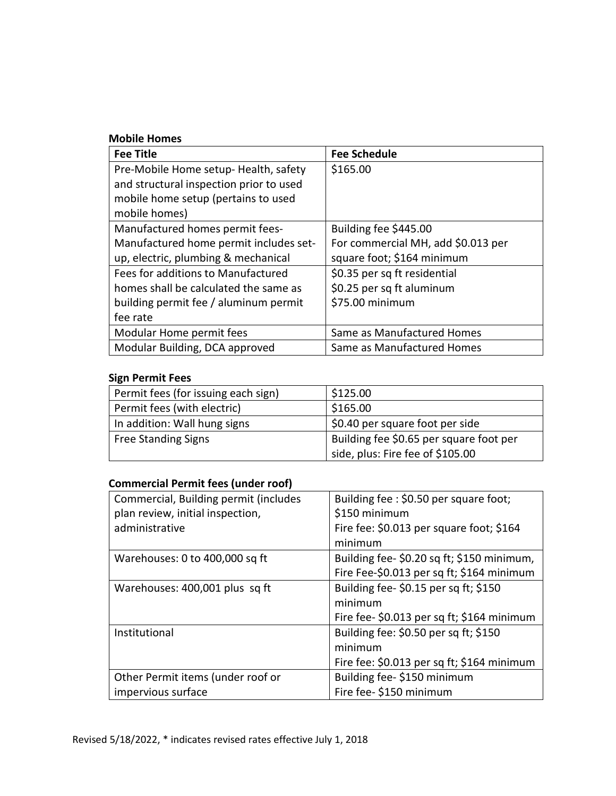#### **Mobile Homes**

| <b>Fee Title</b>                        | <b>Fee Schedule</b>                |
|-----------------------------------------|------------------------------------|
| Pre-Mobile Home setup-Health, safety    | \$165.00                           |
| and structural inspection prior to used |                                    |
| mobile home setup (pertains to used     |                                    |
| mobile homes)                           |                                    |
| Manufactured homes permit fees-         | Building fee \$445.00              |
| Manufactured home permit includes set-  | For commercial MH, add \$0.013 per |
| up, electric, plumbing & mechanical     | square foot; \$164 minimum         |
| Fees for additions to Manufactured      | \$0.35 per sq ft residential       |
| homes shall be calculated the same as   | \$0.25 per sq ft aluminum          |
| building permit fee / aluminum permit   | \$75.00 minimum                    |
| fee rate                                |                                    |
| Modular Home permit fees                | Same as Manufactured Homes         |
| Modular Building, DCA approved          | Same as Manufactured Homes         |

## **Sign Permit Fees**

| Permit fees (for issuing each sign) | \$125.00                                |
|-------------------------------------|-----------------------------------------|
| Permit fees (with electric)         | \$165.00                                |
| In addition: Wall hung signs        | \$0.40 per square foot per side         |
| <b>Free Standing Signs</b>          | Building fee \$0.65 per square foot per |
|                                     | side, plus: Fire fee of \$105.00        |

## **Commercial Permit fees (under roof)**

| Commercial, Building permit (includes | Building fee: \$0.50 per square foot;      |
|---------------------------------------|--------------------------------------------|
| plan review, initial inspection,      | \$150 minimum                              |
| administrative                        | Fire fee: \$0.013 per square foot; \$164   |
|                                       | minimum                                    |
| Warehouses: 0 to 400,000 sq ft        | Building fee-\$0.20 sq ft; \$150 minimum,  |
|                                       | Fire Fee-\$0.013 per sq ft; \$164 minimum  |
| Warehouses: 400,001 plus sq ft        | Building fee-\$0.15 per sq ft; \$150       |
|                                       | minimum                                    |
|                                       | Fire fee- \$0.013 per sq ft; \$164 minimum |
| Institutional                         | Building fee: \$0.50 per sq ft; \$150      |
|                                       | minimum                                    |
|                                       | Fire fee: \$0.013 per sq ft; \$164 minimum |
| Other Permit items (under roof or     | Building fee-\$150 minimum                 |
| impervious surface                    | Fire fee- \$150 minimum                    |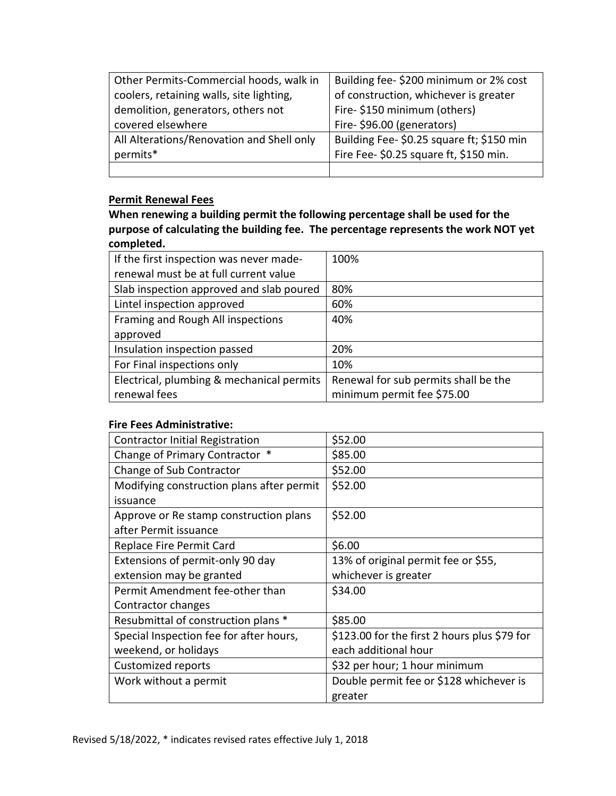| Other Permits-Commercial hoods, walk in   | Building fee-\$200 minimum or 2% cost     |
|-------------------------------------------|-------------------------------------------|
| coolers, retaining walls, site lighting,  | of construction, whichever is greater     |
| demolition, generators, others not        | Fire-\$150 minimum (others)               |
| covered elsewhere                         | Fire-\$96.00 (generators)                 |
| All Alterations/Renovation and Shell only | Building Fee- \$0.25 square ft; \$150 min |
| permits*                                  | Fire Fee- \$0.25 square ft, \$150 min.    |
|                                           |                                           |

## **Permit Renewal Fees**

**When renewing a building permit the following percentage shall be used for the purpose of calculating the building fee. The percentage represents the work NOT yet completed.**

| If the first inspection was never made-   | 100%                                 |
|-------------------------------------------|--------------------------------------|
| renewal must be at full current value     |                                      |
| Slab inspection approved and slab poured  | 80%                                  |
| Lintel inspection approved                | 60%                                  |
| Framing and Rough All inspections         | 40%                                  |
| approved                                  |                                      |
| Insulation inspection passed              | 20%                                  |
| For Final inspections only                | 10%                                  |
| Electrical, plumbing & mechanical permits | Renewal for sub permits shall be the |
| renewal fees                              | minimum permit fee \$75.00           |

#### **Fire Fees Administrative:**

| <b>Contractor Initial Registration</b>    | \$52.00                                      |
|-------------------------------------------|----------------------------------------------|
| Change of Primary Contractor *            | \$85.00                                      |
| Change of Sub Contractor                  | \$52.00                                      |
| Modifying construction plans after permit | \$52.00                                      |
| issuance                                  |                                              |
| Approve or Re stamp construction plans    | \$52.00                                      |
| after Permit issuance                     |                                              |
| Replace Fire Permit Card                  | \$6.00                                       |
| Extensions of permit-only 90 day          | 13% of original permit fee or \$55,          |
| extension may be granted                  | whichever is greater                         |
| Permit Amendment fee-other than           | \$34.00                                      |
| Contractor changes                        |                                              |
| Resubmittal of construction plans *       | \$85.00                                      |
| Special Inspection fee for after hours,   | \$123.00 for the first 2 hours plus \$79 for |
| weekend, or holidays                      | each additional hour                         |
| Customized reports                        | \$32 per hour; 1 hour minimum                |
| Work without a permit                     | Double permit fee or \$128 whichever is      |
|                                           | greater                                      |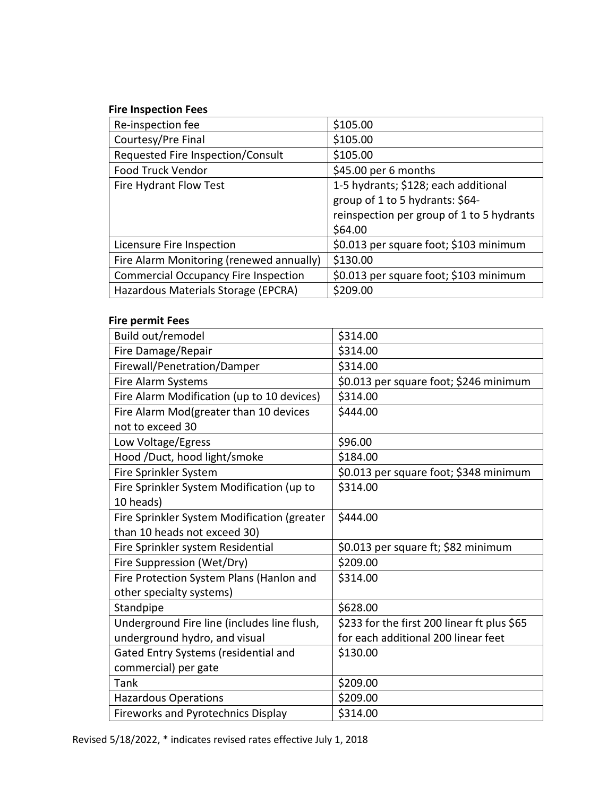## **Fire Inspection Fees**

| Re-inspection fee                           | \$105.00                                  |
|---------------------------------------------|-------------------------------------------|
| Courtesy/Pre Final                          | \$105.00                                  |
| Requested Fire Inspection/Consult           | \$105.00                                  |
| Food Truck Vendor                           | \$45.00 per 6 months                      |
| Fire Hydrant Flow Test                      | 1-5 hydrants; \$128; each additional      |
|                                             | group of 1 to 5 hydrants: \$64-           |
|                                             | reinspection per group of 1 to 5 hydrants |
|                                             | \$64.00                                   |
| Licensure Fire Inspection                   | \$0.013 per square foot; \$103 minimum    |
| Fire Alarm Monitoring (renewed annually)    | \$130.00                                  |
| <b>Commercial Occupancy Fire Inspection</b> | \$0.013 per square foot; \$103 minimum    |
| Hazardous Materials Storage (EPCRA)         | \$209.00                                  |

#### **Fire permit Fees**

| Build out/remodel                           | \$314.00                                    |
|---------------------------------------------|---------------------------------------------|
| Fire Damage/Repair                          | \$314.00                                    |
| Firewall/Penetration/Damper                 | \$314.00                                    |
| Fire Alarm Systems                          | \$0.013 per square foot; \$246 minimum      |
| Fire Alarm Modification (up to 10 devices)  | \$314.00                                    |
| Fire Alarm Mod(greater than 10 devices      | \$444.00                                    |
| not to exceed 30                            |                                             |
| Low Voltage/Egress                          | \$96.00                                     |
| Hood /Duct, hood light/smoke                | \$184.00                                    |
| Fire Sprinkler System                       | \$0.013 per square foot; \$348 minimum      |
| Fire Sprinkler System Modification (up to   | \$314.00                                    |
| 10 heads)                                   |                                             |
| Fire Sprinkler System Modification (greater | \$444.00                                    |
| than 10 heads not exceed 30)                |                                             |
| Fire Sprinkler system Residential           | \$0.013 per square ft; \$82 minimum         |
| Fire Suppression (Wet/Dry)                  | \$209.00                                    |
| Fire Protection System Plans (Hanlon and    | \$314.00                                    |
| other specialty systems)                    |                                             |
| Standpipe                                   | \$628.00                                    |
| Underground Fire line (includes line flush, | \$233 for the first 200 linear ft plus \$65 |
| underground hydro, and visual               | for each additional 200 linear feet         |
| Gated Entry Systems (residential and        | \$130.00                                    |
| commercial) per gate                        |                                             |
| Tank                                        | \$209.00                                    |
| <b>Hazardous Operations</b>                 | \$209.00                                    |
| Fireworks and Pyrotechnics Display          | \$314.00                                    |